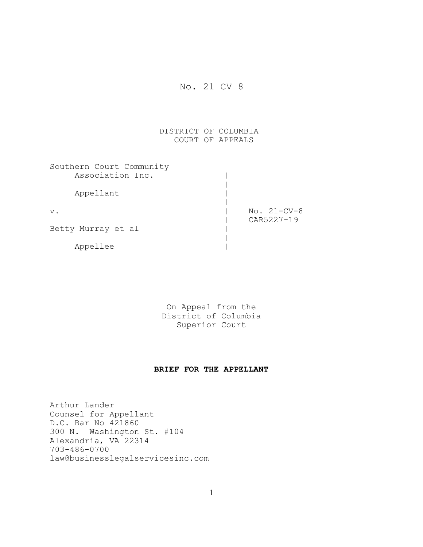# No. 21 CV 8

# DISTRICT OF COLUMBIA COURT OF APPEALS

| Southern Court Community |               |
|--------------------------|---------------|
| Association Inc.         |               |
|                          |               |
| Appellant                |               |
|                          |               |
| $V$ .                    | $No. 21-CV-8$ |
|                          | CAR5227-19    |
| Betty Murray et al       |               |
|                          |               |
| Appellee                 |               |

On Appeal from the District of Columbia Superior Court

# **BRIEF FOR THE APPELLANT**

Arthur Lander Counsel for Appellant D.C. Bar No 421860 300 N. Washington St. #104 Alexandria, VA 22314 703-486-0700 law@businesslegalservicesinc.com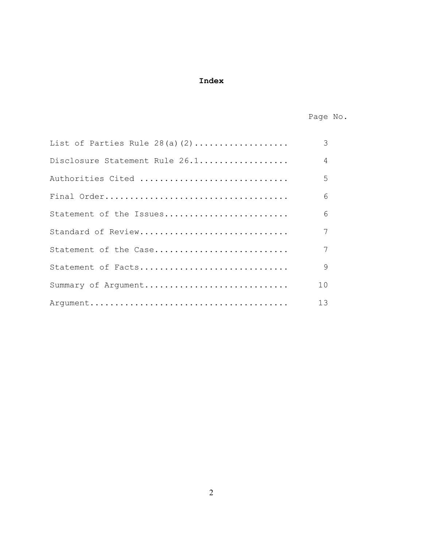# **Index**

Page No.

| List of Parties Rule $28(a)(2)$ | 3               |
|---------------------------------|-----------------|
| Disclosure Statement Rule 26.1  | $\overline{4}$  |
| Authorities Cited               | 5               |
|                                 | 6               |
| Statement of the Issues         | 6               |
| Standard of Review              | 7 <sup>1</sup>  |
| Statement of the Case           | $7\overline{ }$ |
| Statement of Facts              | 9               |
| Summary of Argument             | 10              |
|                                 | 13              |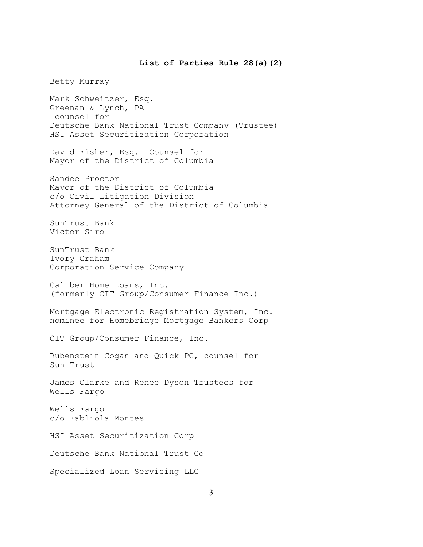## **List of Parties Rule 28(a)(2)**

Betty Murray Mark Schweitzer, Esq. Greenan & Lynch, PA counsel for Deutsche Bank National Trust Company (Trustee) HSI Asset Securitization Corporation David Fisher, Esq. Counsel for Mayor of the District of Columbia Sandee Proctor Mayor of the District of Columbia c/o Civil Litigation Division Attorney General of the District of Columbia SunTrust Bank Victor Siro SunTrust Bank Ivory Graham Corporation Service Company Caliber Home Loans, Inc. (formerly CIT Group/Consumer Finance Inc.) Mortgage Electronic Registration System, Inc. nominee for Homebridge Mortgage Bankers Corp CIT Group/Consumer Finance, Inc. Rubenstein Cogan and Quick PC, counsel for Sun Trust James Clarke and Renee Dyson Trustees for Wells Fargo Wells Fargo c/o Fabliola Montes HSI Asset Securitization Corp Deutsche Bank National Trust Co Specialized Loan Servicing LLC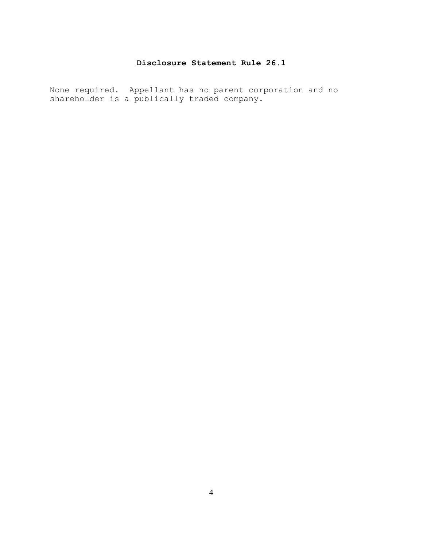# **Disclosure Statement Rule 26.1**

None required. Appellant has no parent corporation and no shareholder is a publically traded company.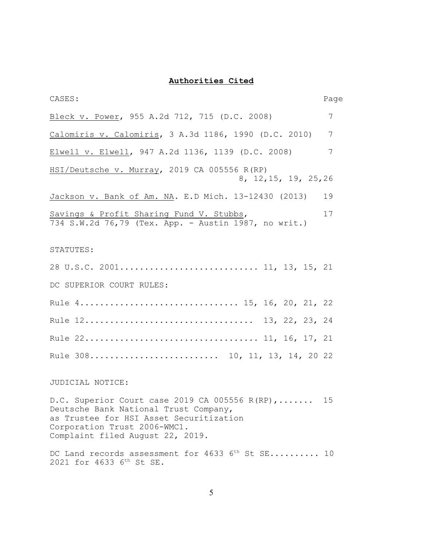# **Authorities Cited**

| CASES:                                                                                                                                                                                                 | Page |
|--------------------------------------------------------------------------------------------------------------------------------------------------------------------------------------------------------|------|
| Bleck v. Power, 955 A.2d 712, 715 (D.C. 2008)                                                                                                                                                          | 7    |
| Calomiris v. Calomiris, 3 A.3d 1186, 1990 (D.C. 2010)                                                                                                                                                  | 7    |
| Elwell v. Elwell, 947 A.2d 1136, 1139 (D.C. 2008)                                                                                                                                                      | 7    |
| HSI/Deutsche v. Murray, 2019 CA 005556 R(RP)<br>8, 12, 15, 19, 25, 26                                                                                                                                  |      |
| Jackson v. Bank of Am. NA. E.D Mich. 13-12430 (2013)                                                                                                                                                   | 19   |
| Savings & Profit Sharing Fund V. Stubbs,<br>734 S.W.2d 76,79 (Tex. App. - Austin 1987, no writ.)                                                                                                       | 17   |
| STATUTES:                                                                                                                                                                                              |      |
| 28 U.S.C. 2001 11, 13, 15, 21                                                                                                                                                                          |      |
| DC SUPERIOR COURT RULES:                                                                                                                                                                               |      |
| Rule 4 15, 16, 20, 21, 22                                                                                                                                                                              |      |
|                                                                                                                                                                                                        |      |
|                                                                                                                                                                                                        |      |
| Rule 308 10, 11, 13, 14, 20 22                                                                                                                                                                         |      |
| JUDICIAL NOTICE:                                                                                                                                                                                       |      |
| D.C. Superior Court case 2019 CA 005556 R(RP),<br>Deutsche Bank National Trust Company,<br>as Trustee for HSI Asset Securitization<br>Corporation Trust 2006-WMC1.<br>Complaint filed August 22, 2019. | 15   |

DC Land records assessment for 4633  $6^{th}$  St SE.......... 10 2021 for 4633 6<sup>th</sup> St SE.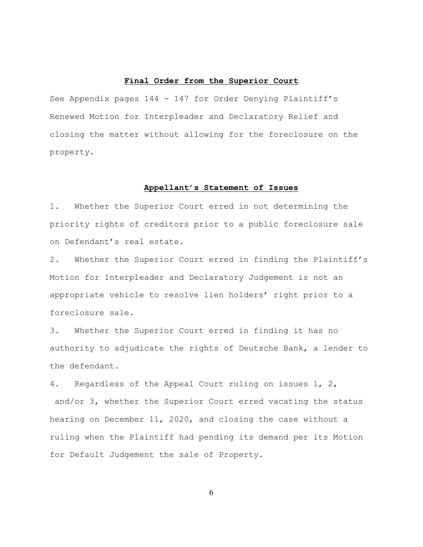## **Final Order from the Superior Court**

See Appendix pages 144 - 147 for Order Denying Plaintiff's Renewed Motion for Interpleader and Declaratory Relief and closing the matter without allowing for the foreclosure on the property.

#### **Appellant's Statement of Issues**

1. Whether the Superior Court erred in not determining the priority rights of creditors prior to a public foreclosure sale on Defendant's real estate.

2. Whether the Superior Court erred in finding the Plaintiff's Motion for Interpleader and Declaratory Judgement is not an appropriate vehicle to resolve lien holders' right prior to a foreclosure sale.

3. Whether the Superior Court erred in finding it has no authority to adjudicate the rights of Deutsche Bank, a lender to the defendant.

4. Regardless of the Appeal Court ruling on issues 1, 2, and/or 3, whether the Superior Court erred vacating the status hearing on December 11, 2020, and closing the case without a ruling when the Plaintiff had pending its demand per its Motion for Default Judgement the sale of Property.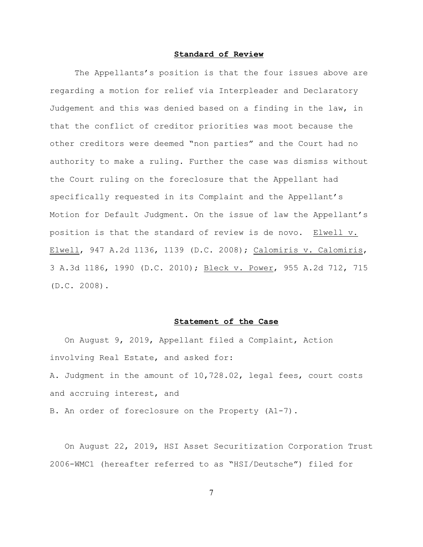# **Standard of Review**

The Appellants's position is that the four issues above are regarding a motion for relief via Interpleader and Declaratory Judgement and this was denied based on a finding in the law, in that the conflict of creditor priorities was moot because the other creditors were deemed "non parties" and the Court had no authority to make a ruling. Further the case was dismiss without the Court ruling on the foreclosure that the Appellant had specifically requested in its Complaint and the Appellant's Motion for Default Judgment. On the issue of law the Appellant's position is that the standard of review is de novo. Elwell v. Elwell, 947 A.2d 1136, 1139 (D.C. 2008); Calomiris v. Calomiris, 3 A.3d 1186, 1990 (D.C. 2010); Bleck v. Power, 955 A.2d 712, 715 (D.C. 2008).

## **Statement of the Case**

 On August 9, 2019, Appellant filed a Complaint, Action involving Real Estate, and asked for: A. Judgment in the amount of 10,728.02, legal fees, court costs and accruing interest, and B. An order of foreclosure on the Property (A1-7).

 On August 22, 2019, HSI Asset Securitization Corporation Trust 2006-WMC1 (hereafter referred to as "HSI/Deutsche") filed for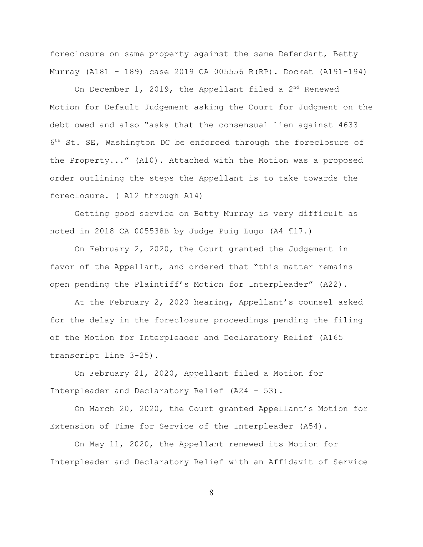foreclosure on same property against the same Defendant, Betty Murray (A181 - 189) case 2019 CA 005556 R(RP). Docket (A191-194)

On December 1, 2019, the Appellant filed a  $2<sup>nd</sup>$  Renewed Motion for Default Judgement asking the Court for Judgment on the debt owed and also "asks that the consensual lien against 4633  $6<sup>th</sup>$  St. SE, Washington DC be enforced through the foreclosure of the Property..." (A10). Attached with the Motion was a proposed order outlining the steps the Appellant is to take towards the foreclosure. ( A12 through A14)

 Getting good service on Betty Murray is very difficult as noted in 2018 CA 005538B by Judge Puig Lugo (A4 ¶17.)

On February 2, 2020, the Court granted the Judgement in favor of the Appellant, and ordered that "this matter remains open pending the Plaintiff's Motion for Interpleader" (A22).

At the February 2, 2020 hearing, Appellant's counsel asked for the delay in the foreclosure proceedings pending the filing of the Motion for Interpleader and Declaratory Relief (A165 transcript line 3-25).

On February 21, 2020, Appellant filed a Motion for Interpleader and Declaratory Relief (A24 - 53).

On March 20, 2020, the Court granted Appellant's Motion for Extension of Time for Service of the Interpleader (A54).

 On May 11, 2020, the Appellant renewed its Motion for Interpleader and Declaratory Relief with an Affidavit of Service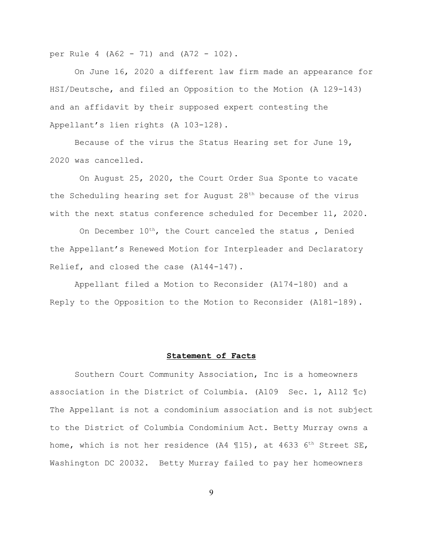per Rule 4 (A62 - 71) and (A72 - 102).

On June 16, 2020 a different law firm made an appearance for HSI/Deutsche, and filed an Opposition to the Motion (A 129-143) and an affidavit by their supposed expert contesting the Appellant's lien rights (A 103-128).

 Because of the virus the Status Hearing set for June 19, 2020 was cancelled.

 On August 25, 2020, the Court Order Sua Sponte to vacate the Scheduling hearing set for August  $28<sup>th</sup>$  because of the virus with the next status conference scheduled for December 11, 2020.

On December  $10^{th}$ , the Court canceled the status, Denied the Appellant's Renewed Motion for Interpleader and Declaratory Relief, and closed the case (A144-147).

Appellant filed a Motion to Reconsider (A174-180) and a Reply to the Opposition to the Motion to Reconsider (A181-189).

#### **Statement of Facts**

 Southern Court Community Association, Inc is a homeowners association in the District of Columbia. (A109 Sec. 1, A112 ¶c) The Appellant is not a condominium association and is not subject to the District of Columbia Condominium Act. Betty Murray owns a home, which is not her residence (A4  $\mathbb{I}15$ ), at 4633 6<sup>th</sup> Street SE, Washington DC 20032. Betty Murray failed to pay her homeowners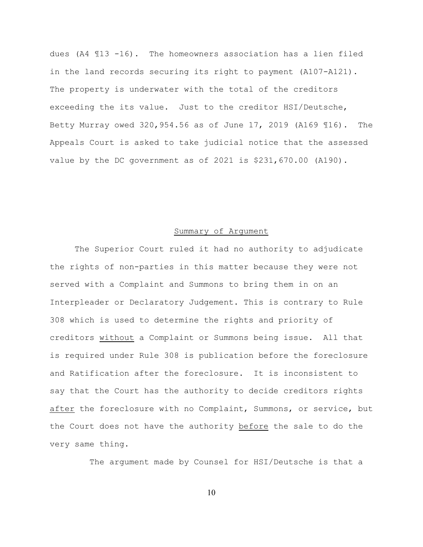dues (A4 ¶13 -16). The homeowners association has a lien filed in the land records securing its right to payment (A107-A121). The property is underwater with the total of the creditors exceeding the its value. Just to the creditor HSI/Deutsche, Betty Murray owed 320,954.56 as of June 17, 2019 (A169 ¶16). The Appeals Court is asked to take judicial notice that the assessed value by the DC government as of 2021 is \$231,670.00 (A190).

## Summary of Argument

The Superior Court ruled it had no authority to adjudicate the rights of non-parties in this matter because they were not served with a Complaint and Summons to bring them in on an Interpleader or Declaratory Judgement. This is contrary to Rule 308 which is used to determine the rights and priority of creditors without a Complaint or Summons being issue. All that is required under Rule 308 is publication before the foreclosure and Ratification after the foreclosure. It is inconsistent to say that the Court has the authority to decide creditors rights after the foreclosure with no Complaint, Summons, or service, but the Court does not have the authority before the sale to do the very same thing.

The argument made by Counsel for HSI/Deutsche is that a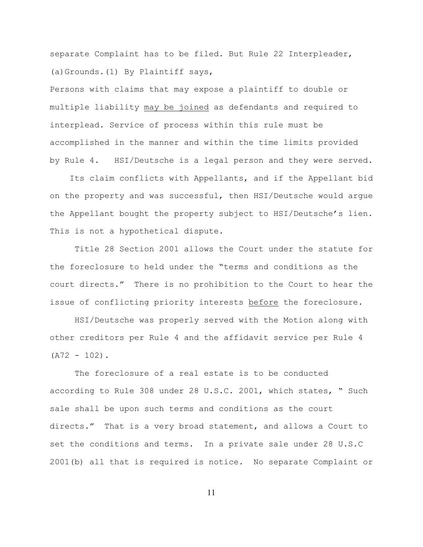separate Complaint has to be filed. But Rule 22 Interpleader, (a)Grounds.(1) By Plaintiff says,

Persons with claims that may expose a plaintiff to double or multiple liability may be joined as defendants and required to interplead. Service of process within this rule must be accomplished in the manner and within the time limits provided by Rule 4. HSI/Deutsche is a legal person and they were served.

 Its claim conflicts with Appellants, and if the Appellant bid on the property and was successful, then HSI/Deutsche would argue the Appellant bought the property subject to HSI/Deutsche's lien. This is not a hypothetical dispute.

 Title 28 Section 2001 allows the Court under the statute for the foreclosure to held under the "terms and conditions as the court directs." There is no prohibition to the Court to hear the issue of conflicting priority interests before the foreclosure.

 HSI/Deutsche was properly served with the Motion along with other creditors per Rule 4 and the affidavit service per Rule 4  $(A72 - 102)$ .

The foreclosure of a real estate is to be conducted according to Rule 308 under 28 U.S.C. 2001, which states, " Such sale shall be upon such terms and conditions as the court directs." That is a very broad statement, and allows a Court to set the conditions and terms. In a private sale under 28 U.S.C 2001(b) all that is required is notice. No separate Complaint or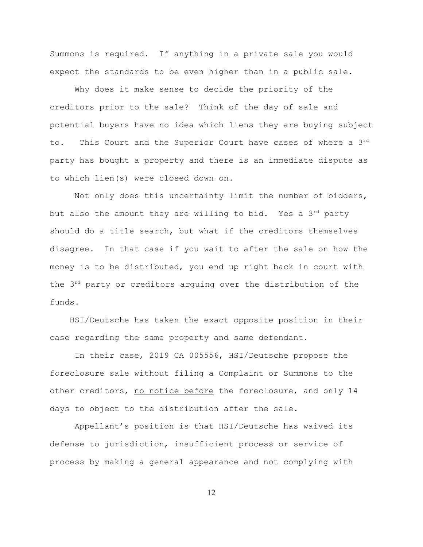Summons is required. If anything in a private sale you would expect the standards to be even higher than in a public sale.

Why does it make sense to decide the priority of the creditors prior to the sale? Think of the day of sale and potential buyers have no idea which liens they are buying subject to. This Court and the Superior Court have cases of where a 3rd party has bought a property and there is an immediate dispute as to which lien(s) were closed down on.

Not only does this uncertainty limit the number of bidders, but also the amount they are willing to bid. Yes a  $3<sup>rd</sup>$  party should do a title search, but what if the creditors themselves disagree. In that case if you wait to after the sale on how the money is to be distributed, you end up right back in court with the  $3^{rd}$  party or creditors arguing over the distribution of the funds.

 HSI/Deutsche has taken the exact opposite position in their case regarding the same property and same defendant.

In their case, 2019 CA 005556, HSI/Deutsche propose the foreclosure sale without filing a Complaint or Summons to the other creditors, no notice before the foreclosure, and only 14 days to object to the distribution after the sale.

 Appellant's position is that HSI/Deutsche has waived its defense to jurisdiction, insufficient process or service of process by making a general appearance and not complying with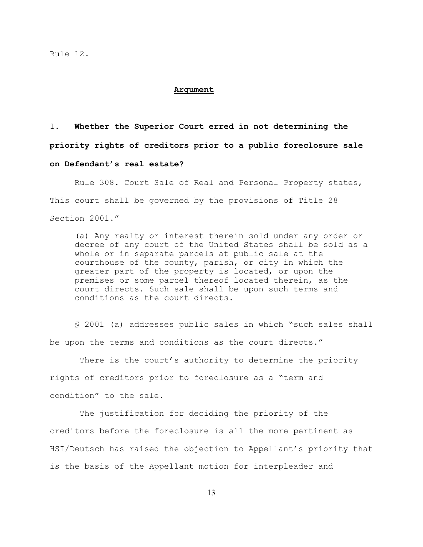#### **Argument**

1. **Whether the Superior Court erred in not determining the**

**priority rights of creditors prior to a public foreclosure sale**

## **on Defendant's real estate?**

Rule 308. Court Sale of Real and Personal Property states, This court shall be governed by the provisions of Title 28 Section 2001."

(a) Any realty or interest therein sold under any order or decree of any court of the United States shall be sold as a whole or in separate parcels at public sale at the courthouse of the county, parish, or city in which the greater part of the property is located, or upon the premises or some parcel thereof located therein, as the court directs. Such sale shall be upon such terms and conditions as the court directs.

§ 2001 (a) addresses public sales in which "such sales shall be upon the terms and conditions as the court directs."

 There is the court's authority to determine the priority rights of creditors prior to foreclosure as a "term and condition" to the sale.

 The justification for deciding the priority of the creditors before the foreclosure is all the more pertinent as HSI/Deutsch has raised the objection to Appellant's priority that is the basis of the Appellant motion for interpleader and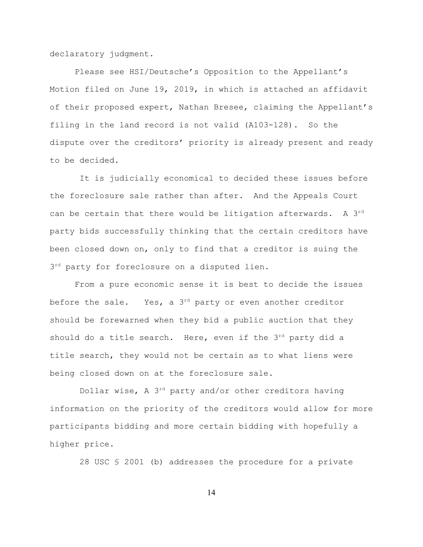declaratory judgment.

Please see HSI/Deutsche's Opposition to the Appellant's Motion filed on June 19, 2019, in which is attached an affidavit of their proposed expert, Nathan Bresee, claiming the Appellant's filing in the land record is not valid (A103-128). So the dispute over the creditors' priority is already present and ready to be decided.

 It is judicially economical to decided these issues before the foreclosure sale rather than after. And the Appeals Court can be certain that there would be litigation afterwards. A 3<sup>rd</sup> party bids successfully thinking that the certain creditors have been closed down on, only to find that a creditor is suing the 3<sup>rd</sup> party for foreclosure on a disputed lien.

From a pure economic sense it is best to decide the issues before the sale. Yes, a  $3^{rd}$  party or even another creditor should be forewarned when they bid a public auction that they should do a title search. Here, even if the  $3^{rd}$  party did a title search, they would not be certain as to what liens were being closed down on at the foreclosure sale.

Dollar wise, A  $3<sup>rd</sup>$  party and/or other creditors having information on the priority of the creditors would allow for more participants bidding and more certain bidding with hopefully a higher price.

28 USC § 2001 (b) addresses the procedure for a private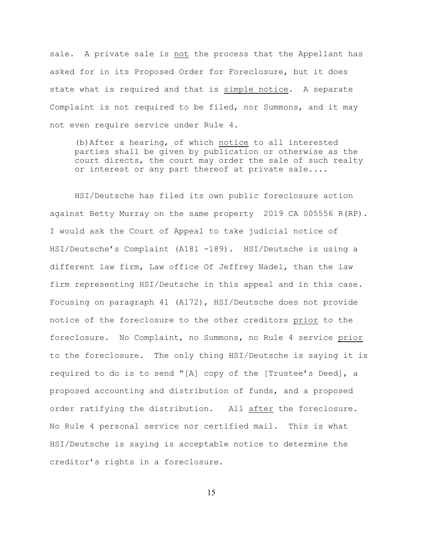sale. A private sale is not the process that the Appellant has asked for in its Proposed Order for Foreclosure, but it does state what is required and that is simple notice. A separate Complaint is not required to be filed, nor Summons, and it may not even require service under Rule 4.

(b)After a hearing, of which notice to all interested parties shall be given by publication or otherwise as the court directs, the court may order the sale of such realty or interest or any part thereof at private sale....

HSI/Deutsche has filed its own public foreclosure action against Betty Murray on the same property 2019 CA 005556 R(RP). I would ask the Court of Appeal to take judicial notice of HSI/Deutsche's Complaint (A181 -189). HSI/Deutsche is using a different law firm, Law office Of Jeffrey Nadel, than the law firm representing HSI/Deutsche in this appeal and in this case. Focusing on paragraph 41 (A172), HSI/Deutsche does not provide notice of the foreclosure to the other creditors prior to the foreclosure. No Complaint, no Summons, no Rule 4 service prior to the foreclosure. The only thing HSI/Deutsche is saying it is required to do is to send "[A] copy of the [Trustee's Deed], a proposed accounting and distribution of funds, and a proposed order ratifying the distribution. All after the foreclosure. No Rule 4 personal service nor certified mail. This is what HSI/Deutsche is saying is acceptable notice to determine the creditor's rights in a foreclosure.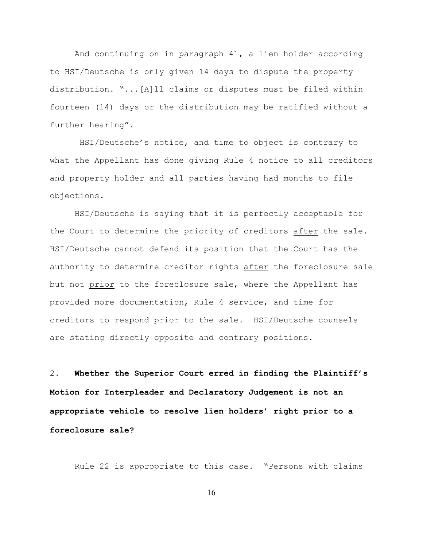And continuing on in paragraph 41, a lien holder according to HSI/Deutsche is only given 14 days to dispute the property distribution. "...[A]ll claims or disputes must be filed within fourteen (14) days or the distribution may be ratified without a further hearing".

 HSI/Deutsche's notice, and time to object is contrary to what the Appellant has done giving Rule 4 notice to all creditors and property holder and all parties having had months to file objections.

 HSI/Deutsche is saying that it is perfectly acceptable for the Court to determine the priority of creditors after the sale. HSI/Deutsche cannot defend its position that the Court has the authority to determine creditor rights after the foreclosure sale but not prior to the foreclosure sale, where the Appellant has provided more documentation, Rule 4 service, and time for creditors to respond prior to the sale. HSI/Deutsche counsels are stating directly opposite and contrary positions.

2. **Whether the Superior Court erred in finding the Plaintiff's Motion for Interpleader and Declaratory Judgement is not an appropriate vehicle to resolve lien holders' right prior to a foreclosure sale?**

Rule 22 is appropriate to this case. "Persons with claims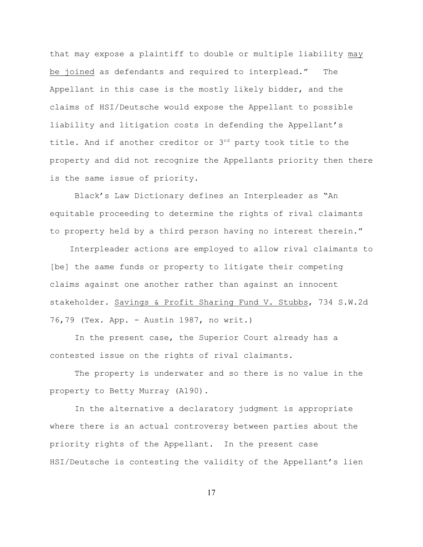that may expose a plaintiff to double or multiple liability may be joined as defendants and required to interplead." The Appellant in this case is the mostly likely bidder, and the claims of HSI/Deutsche would expose the Appellant to possible liability and litigation costs in defending the Appellant's title. And if another creditor or  $3^{rd}$  party took title to the property and did not recognize the Appellants priority then there is the same issue of priority.

Black's Law Dictionary defines an Interpleader as "An equitable proceeding to determine the rights of rival claimants to property held by a third person having no interest therein."

 Interpleader actions are employed to allow rival claimants to [be] the same funds or property to litigate their competing claims against one another rather than against an innocent stakeholder. Savings & Profit Sharing Fund V. Stubbs, 734 S.W.2d 76,79 (Tex. App. - Austin 1987, no writ.)

In the present case, the Superior Court already has a contested issue on the rights of rival claimants.

The property is underwater and so there is no value in the property to Betty Murray (A190).

In the alternative a declaratory judgment is appropriate where there is an actual controversy between parties about the priority rights of the Appellant. In the present case HSI/Deutsche is contesting the validity of the Appellant's lien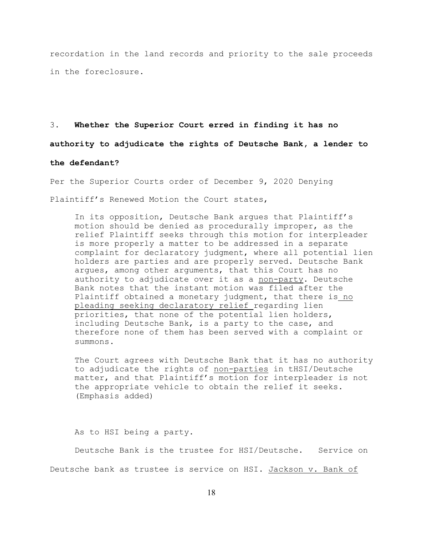recordation in the land records and priority to the sale proceeds in the foreclosure.

3. **Whether the Superior Court erred in finding it has no authority to adjudicate the rights of Deutsche Bank, a lender to the defendant?**

Per the Superior Courts order of December 9, 2020 Denying Plaintiff's Renewed Motion the Court states,

In its opposition, Deutsche Bank argues that Plaintiff's motion should be denied as procedurally improper, as the relief Plaintiff seeks through this motion for interpleader is more properly a matter to be addressed in a separate complaint for declaratory judgment, where all potential lien holders are parties and are properly served. Deutsche Bank argues, among other arguments, that this Court has no authority to adjudicate over it as a non-party. Deutsche Bank notes that the instant motion was filed after the Plaintiff obtained a monetary judgment, that there is no pleading seeking declaratory relief regarding lien priorities, that none of the potential lien holders, including Deutsche Bank, is a party to the case, and therefore none of them has been served with a complaint or summons**.**

The Court agrees with Deutsche Bank that it has no authority to adjudicate the rights of non-parties in tHSI/Deutsche matter, and that Plaintiff's motion for interpleader is not the appropriate vehicle to obtain the relief it seeks. (Emphasis added)

As to HSI being a party.

Deutsche Bank is the trustee for HSI/Deutsche. Service on Deutsche bank as trustee is service on HSI**.** Jackson v. Bank of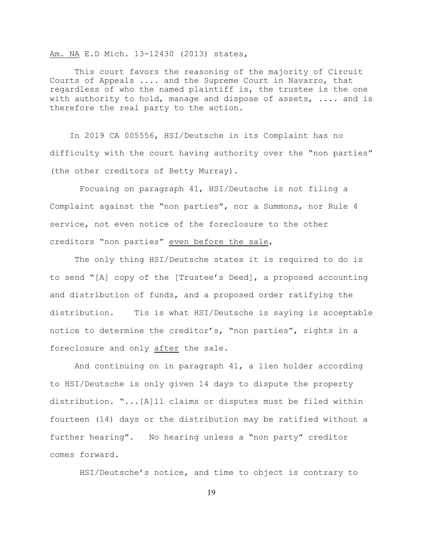Am. NA E.D Mich. 13-12430 (2013) states,

This court favors the reasoning of the majority of Circuit Courts of Appeals .... and the Supreme Court in Navarro, that regardless of who the named plaintiff is, the trustee is the one with authority to hold, manage and dispose of assets, .... and is therefore the real party to the action.

 In 2019 CA 005556, HSI/Deutsche in its Complaint has no difficulty with the court having authority over the "non parties" (the other creditors of Betty Murray).

 Focusing on paragraph 41, HSI/Deutsche is not filing a Complaint against the "non parties", nor a Summons, nor Rule 4 service, not even notice of the foreclosure to the other creditors "non parties" even before the sale,

The only thing HSI/Deutsche states it is required to do is to send "[A] copy of the [Trustee's Deed], a proposed accounting and distribution of funds, and a proposed order ratifying the distribution. Tis is what HSI/Deutsche is saying is acceptable notice to determine the creditor's, "non parties", rights in a foreclosure and only after the sale.

 And continuing on in paragraph 41, a lien holder according to HSI/Deutsche is only given 14 days to dispute the property distribution. "...[A]ll claims or disputes must be filed within fourteen (14) days or the distribution may be ratified without a further hearing". No hearing unless a "non party" creditor comes forward.

HSI/Deutsche's notice, and time to object is contrary to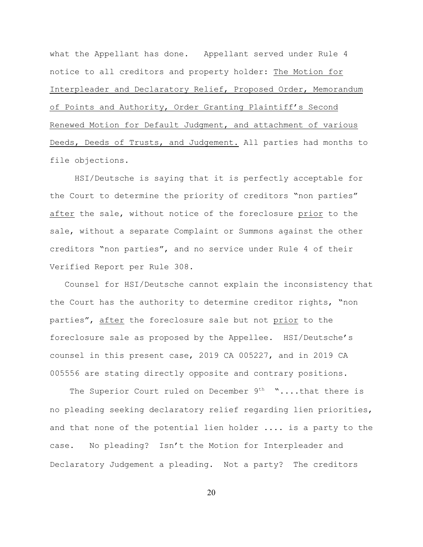what the Appellant has done. Appellant served under Rule 4 notice to all creditors and property holder: The Motion for Interpleader and Declaratory Relief, Proposed Order, Memorandum of Points and Authority, Order Granting Plaintiff's Second Renewed Motion for Default Judgment, and attachment of various Deeds, Deeds of Trusts, and Judgement. All parties had months to file objections.

 HSI/Deutsche is saying that it is perfectly acceptable for the Court to determine the priority of creditors "non parties" after the sale, without notice of the foreclosure prior to the sale, without a separate Complaint or Summons against the other creditors "non parties", and no service under Rule 4 of their Verified Report per Rule 308.

 Counsel for HSI/Deutsche cannot explain the inconsistency that the Court has the authority to determine creditor rights, "non parties", after the foreclosure sale but not prior to the foreclosure sale as proposed by the Appellee. HSI/Deutsche's counsel in this present case, 2019 CA 005227, and in 2019 CA 005556 are stating directly opposite and contrary positions.

The Superior Court ruled on December 9<sup>th</sup> "....that there is no pleading seeking declaratory relief regarding lien priorities, and that none of the potential lien holder .... is a party to the case.No pleading? Isn't the Motion for Interpleader and Declaratory Judgement a pleading.Not a party? The creditors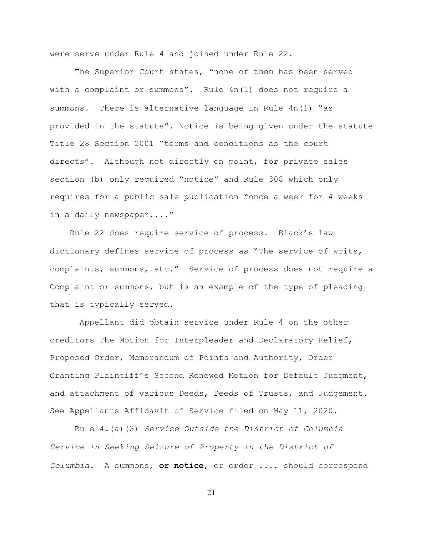were serve under Rule 4 and joined under Rule 22.

The Superior Court states, "none of them has been served with a complaint or summons**".** Rule 4n(1) does not require a summons. There is alternative language in Rule 4n(1) "as provided in the statute". Notice is being given under the statute Title 28 Section 2001 "terms and conditions as the court directs". Although not directly on point, for private sales section (b) only required "notice" and Rule 308 which only requires for a public sale publication "once a week for 4 weeks in a daily newspaper...."

Rule 22 does require service of process. Black's law dictionary defines service of process as "The service of writs, complaints, summons, etc." Service of process does not require a Complaint or summons, but is an example of the type of pleading that is typically served.

 Appellant did obtain service under Rule 4 on the other creditors The Motion for Interpleader and Declaratory Relief, Proposed Order, Memorandum of Points and Authority, Order Granting Plaintiff's Second Renewed Motion for Default Judgment, and attachment of various Deeds, Deeds of Trusts, and Judgement. See Appellants Affidavit of Service filed on May 11, 2020.

Rule 4.(a)(3) *Service Outside the District of Columbia Service in Seeking Seizure of Property in the District of Columbia.* A summons, **or notice**, or order .... should correspond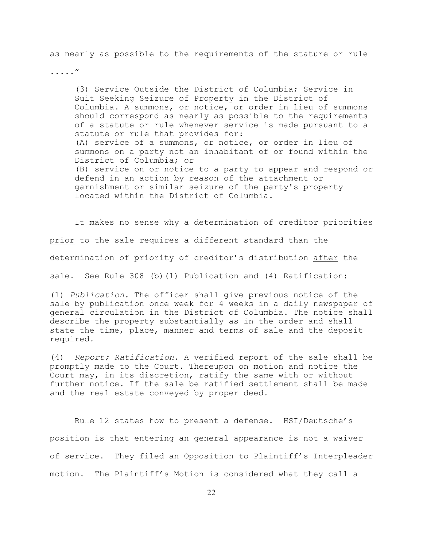as nearly as possible to the requirements of the stature or rule

....."

(3) Service Outside the District of Columbia; Service in Suit Seeking Seizure of Property in the District of Columbia. A summons, or notice, or order in lieu of summons should correspond as nearly as possible to the requirements of a statute or rule whenever service is made pursuant to a statute or rule that provides for: (A) service of a summons, or notice, or order in lieu of summons on a party not an inhabitant of or found within the District of Columbia; or (B) service on or notice to a party to appear and respond or defend in an action by reason of the attachment or garnishment or similar seizure of the party's property located within the District of Columbia.

It makes no sense why a determination of creditor priorities prior to the sale requires a different standard than the determination of priority of creditor's distribution after the sale.See Rule 308 (b)(1) Publication and (4) Ratification:

(1) *Publication.* The officer shall give previous notice of the sale by publication once week for 4 weeks in a daily newspaper of general circulation in the District of Columbia. The notice shall describe the property substantially as in the order and shall state the time, place, manner and terms of sale and the deposit required.

(4) *Report; Ratification*. A verified report of the sale shall be promptly made to the Court. Thereupon on motion and notice the Court may, in its discretion, ratify the same with or without further notice. If the sale be ratified settlement shall be made and the real estate conveyed by proper deed.

 Rule 12 states how to present a defense. HSI/Deutsche's position is that entering an general appearance is not a waiver of service. They filed an Opposition to Plaintiff's Interpleader motion. The Plaintiff's Motion is considered what they call a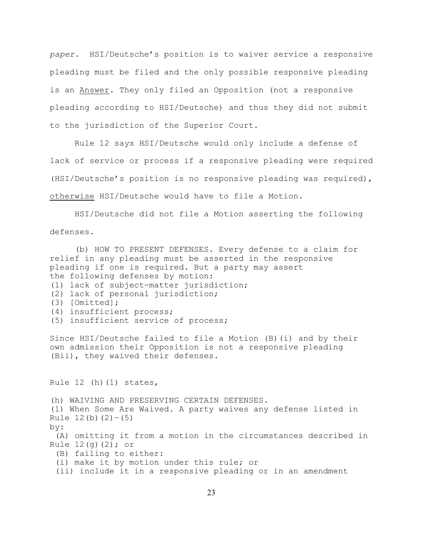*paper*. HSI/Deutsche's position is to waiver service a responsive pleading must be filed and the only possible responsive pleading is an Answer. They only filed an Opposition (not a responsive pleading according to HSI/Deutsche) and thus they did not submit to the jurisdiction of the Superior Court.

Rule 12 says HSI/Deutsche would only include a defense of lack of service or process if a responsive pleading were required (HSI/Deutsche's position is no responsive pleading was required), otherwise HSI/Deutsche would have to file a Motion.

 HSI/Deutsche did not file a Motion asserting the following defenses.

(b) HOW TO PRESENT DEFENSES. Every defense to a claim for relief in any pleading must be asserted in the responsive pleading if one is required. But a party may assert the following defenses by motion: (1) lack of subject-matter jurisdiction; (2) lack of personal jurisdiction; (3) [Omitted]; (4) insufficient process; (5) insufficient service of process;

Since HSI/Deutsche failed to file a Motion (B)(i) and by their own admission their Opposition is not a responsive pleading (Bii), they waived their defenses.

Rule  $12$  (h)( $1$ ) states,

(h) WAIVING AND PRESERVING CERTAIN DEFENSES.

(1) When Some Are Waived. A party waives any defense listed in Rule  $12(b)(2)-(5)$ 

by:

 (A) omitting it from a motion in the circumstances described in Rule  $12(q)(2);$  or

(B) failing to either:

(i) make it by motion under this rule; or

(ii) include it in a responsive pleading or in an amendment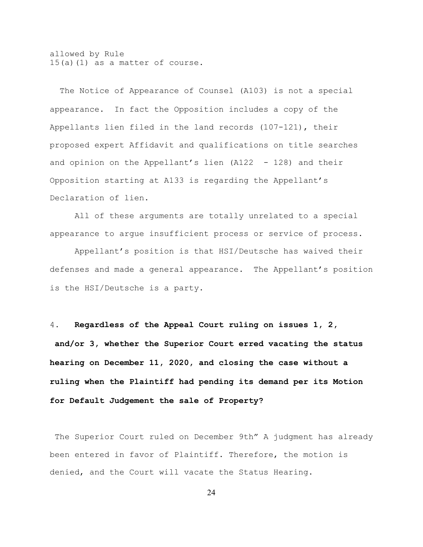allowed by Rule 15(a)(1) as a matter of course.

The Notice of Appearance of Counsel (A103) is not a special appearance. In fact the Opposition includes a copy of the Appellants lien filed in the land records (107-121), their proposed expert Affidavit and qualifications on title searches and opinion on the Appellant's lien (A122 - 128) and their Opposition starting at A133 is regarding the Appellant's Declaration of lien.

All of these arguments are totally unrelated to a special appearance to argue insufficient process or service of process.

Appellant's position is that HSI/Deutsche has waived their defenses and made a general appearance.The Appellant's position is the HSI/Deutsche is a party.

4**. Regardless of the Appeal Court ruling on issues 1, 2, and/or 3, whether the Superior Court erred vacating the status hearing on December 11, 2020, and closing the case without a ruling when the Plaintiff had pending its demand per its Motion for Default Judgement the sale of Property?**

 The Superior Court ruled on December 9th" A judgment has already been entered in favor of Plaintiff. Therefore, the motion is denied, and the Court will vacate the Status Hearing.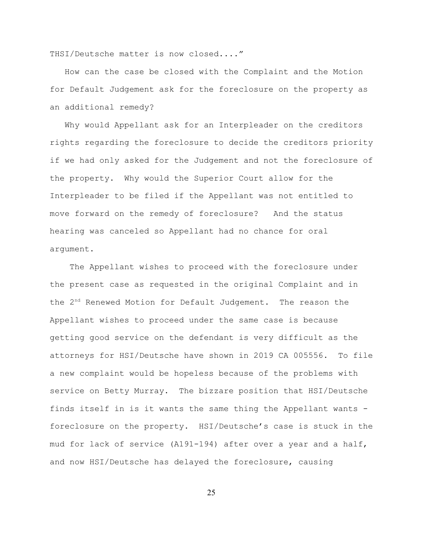THSI/Deutsche matter is now closed...."

 How can the case be closed with the Complaint and the Motion for Default Judgement ask for the foreclosure on the property as an additional remedy?

 Why would Appellant ask for an Interpleader on the creditors rights regarding the foreclosure to decide the creditors priority if we had only asked for the Judgement and not the foreclosure of the property. Why would the Superior Court allow for the Interpleader to be filed if the Appellant was not entitled to move forward on the remedy of foreclosure? And the status hearing was canceled so Appellant had no chance for oral argument.

 The Appellant wishes to proceed with the foreclosure under the present case as requested in the original Complaint and in the  $2<sup>nd</sup>$  Renewed Motion for Default Judgement. The reason the Appellant wishes to proceed under the same case is because getting good service on the defendant is very difficult as the attorneys for HSI/Deutsche have shown in 2019 CA 005556. To file a new complaint would be hopeless because of the problems with service on Betty Murray. The bizzare position that HSI/Deutsche finds itself in is it wants the same thing the Appellant wants foreclosure on the property. HSI/Deutsche's case is stuck in the mud for lack of service (A191-194) after over a year and a half, and now HSI/Deutsche has delayed the foreclosure, causing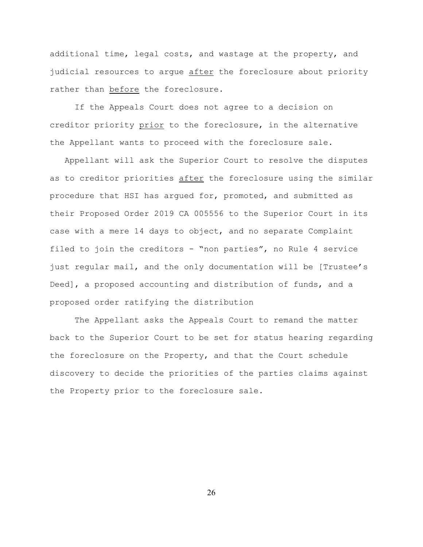additional time, legal costs, and wastage at the property, and judicial resources to argue after the foreclosure about priority rather than before the foreclosure.

If the Appeals Court does not agree to a decision on creditor priority prior to the foreclosure, in the alternative the Appellant wants to proceed with the foreclosure sale.

 Appellant will ask the Superior Court to resolve the disputes as to creditor priorities after the foreclosure using the similar procedure that HSI has argued for, promoted, and submitted as their Proposed Order 2019 CA 005556 to the Superior Court in its case with a mere 14 days to object, and no separate Complaint filed to join the creditors - "non parties", no Rule 4 service just regular mail, and the only documentation will be [Trustee's Deed], a proposed accounting and distribution of funds, and a proposed order ratifying the distribution

The Appellant asks the Appeals Court to remand the matter back to the Superior Court to be set for status hearing regarding the foreclosure on the Property, and that the Court schedule discovery to decide the priorities of the parties claims against the Property prior to the foreclosure sale.